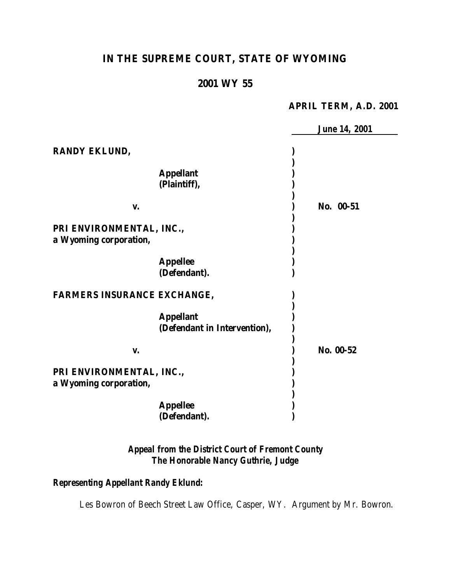# **IN THE SUPREME COURT, STATE OF WYOMING**

# **2001 WY 55**

#### **APRIL TERM, A.D. 2001**

|                                    |                              | <b>June 14, 2001</b> |
|------------------------------------|------------------------------|----------------------|
|                                    |                              |                      |
| RANDY EKLUND,                      |                              |                      |
|                                    |                              |                      |
|                                    | <b>Appellant</b>             |                      |
|                                    | (Plaintiff),                 |                      |
|                                    |                              |                      |
| v.                                 |                              | No. 00-51            |
| PRI ENVIRONMENTAL, INC.,           |                              |                      |
| a Wyoming corporation,             |                              |                      |
|                                    |                              |                      |
|                                    | <b>Appellee</b>              |                      |
|                                    | (Defendant).                 |                      |
|                                    |                              |                      |
| <b>FARMERS INSURANCE EXCHANGE,</b> |                              |                      |
|                                    |                              |                      |
|                                    | <b>Appellant</b>             |                      |
|                                    | (Defendant in Intervention), |                      |
|                                    |                              |                      |
| V.                                 |                              | No. 00-52            |
|                                    |                              |                      |
| PRI ENVIRONMENTAL, INC.,           |                              |                      |
| a Wyoming corporation,             |                              |                      |
|                                    | <b>Appellee</b>              |                      |
|                                    | (Defendant).                 |                      |
|                                    |                              |                      |

*Appeal from the District Court of Fremont County The Honorable Nancy Guthrie, Judge*

*Representing Appellant Randy Eklund:*

Les Bowron of Beech Street Law Office, Casper, WY. Argument by Mr. Bowron.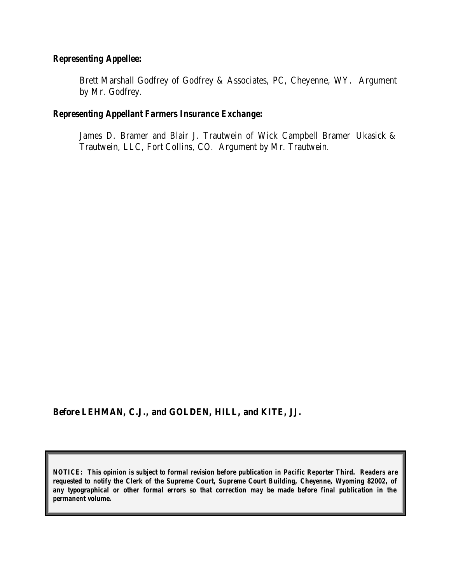#### *Representing Appellee:*

Brett Marshall Godfrey of Godfrey & Associates, PC, Cheyenne, WY. Argument by Mr. Godfrey.

#### *Representing Appellant Farmers Insurance Exchange:*

James D. Bramer and Blair J. Trautwein of Wick Campbell Bramer Ukasick & Trautwein, LLC, Fort Collins, CO. Argument by Mr. Trautwein.

**Before LEHMAN, C.J., and GOLDEN, HILL, and KITE, JJ.**

*NOTICE: This opinion is subject to formal revision before publication in Pacific Reporter Third. Readers are requested to notify the Clerk of the Supreme Court, Supreme Court Building, Cheyenne, Wyoming 82002, of any typographical or other formal errors so that correction may be made before final publication in the permanent volume.*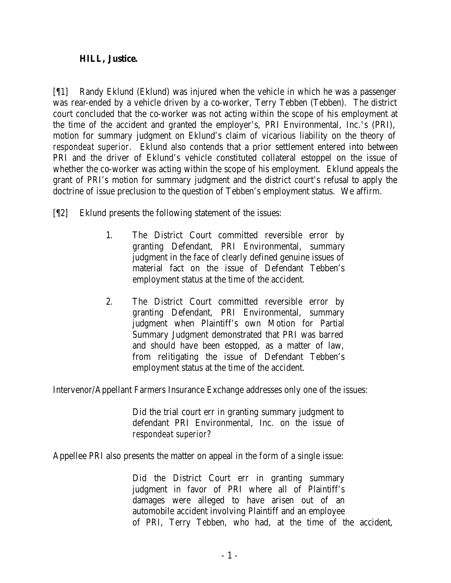#### **HILL, Justice.**

[¶1] Randy Eklund (Eklund) was injured when the vehicle in which he was a passenger was rear-ended by a vehicle driven by a co-worker, Terry Tebben (Tebben). The district court concluded that the co-worker was not acting within the scope of his employment at the time of the accident and granted the employer's, PRI Environmental, Inc.'s (PRI), motion for summary judgment on Eklund's claim of vicarious liability on the theory of *respondeat superior*. Eklund also contends that a prior settlement entered into between PRI and the driver of Eklund's vehicle constituted collateral estoppel on the issue of whether the co-worker was acting within the scope of his employment. Eklund appeals the grant of PRI's motion for summary judgment and the district court's refusal to apply the doctrine of issue preclusion to the question of Tebben's employment status. We affirm.

[¶2] Eklund presents the following statement of the issues:

- 1. The District Court committed reversible error by granting Defendant, PRI Environmental, summary judgment in the face of clearly defined genuine issues of material fact on the issue of Defendant Tebben's employment status at the time of the accident.
- 2. The District Court committed reversible error by granting Defendant, PRI Environmental, summary judgment when Plaintiff's own Motion for Partial Summary Judgment demonstrated that PRI was barred and should have been estopped, as a matter of law, from relitigating the issue of Defendant Tebben's employment status at the time of the accident.

Intervenor/Appellant Farmers Insurance Exchange addresses only one of the issues:

Did the trial court err in granting summary judgment to defendant PRI Environmental, Inc. on the issue of *respondeat superior*?

Appellee PRI also presents the matter on appeal in the form of a single issue:

Did the District Court err in granting summary judgment in favor of PRI where all of Plaintiff's damages were alleged to have arisen out of an automobile accident involving Plaintiff and an employee of PRI, Terry Tebben, who had, at the time of the accident,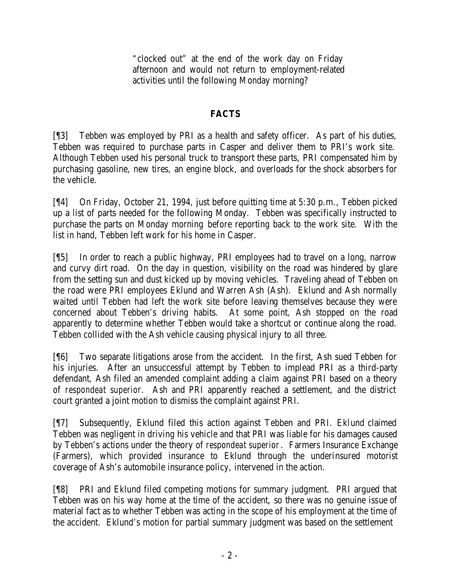"clocked out" at the end of the work day on Friday afternoon and would not return to employment-related activities until the following Monday morning?

## **FACTS**

[¶3] Tebben was employed by PRI as a health and safety officer. As part of his duties, Tebben was required to purchase parts in Casper and deliver them to PRI's work site. Although Tebben used his personal truck to transport these parts, PRI compensated him by purchasing gasoline, new tires, an engine block, and overloads for the shock absorbers for the vehicle.

[¶4] On Friday, October 21, 1994, just before quitting time at 5:30 p.m., Tebben picked up a list of parts needed for the following Monday. Tebben was specifically instructed to purchase the parts on Monday morning before reporting back to the work site. With the list in hand, Tebben left work for his home in Casper.

[¶5] In order to reach a public highway, PRI employees had to travel on a long, narrow and curvy dirt road. On the day in question, visibility on the road was hindered by glare from the setting sun and dust kicked up by moving vehicles. Traveling ahead of Tebben on the road were PRI employees Eklund and Warren Ash (Ash). Eklund and Ash normally waited until Tebben had left the work site before leaving themselves because they were concerned about Tebben's driving habits. At some point, Ash stopped on the road apparently to determine whether Tebben would take a shortcut or continue along the road. Tebben collided with the Ash vehicle causing physical injury to all three.

[¶6] Two separate litigations arose from the accident. In the first, Ash sued Tebben for his injuries. After an unsuccessful attempt by Tebben to implead PRI as a third-party defendant, Ash filed an amended complaint adding a claim against PRI based on a theory of *respondeat superior*. Ash and PRI apparently reached a settlement, and the district court granted a joint motion to dismiss the complaint against PRI.

[¶7] Subsequently, Eklund filed this action against Tebben and PRI. Eklund claimed Tebben was negligent in driving his vehicle and that PRI was liable for his damages caused by Tebben's actions under the theory of *respondeat superior*. Farmers Insurance Exchange (Farmers), which provided insurance to Eklund through the underinsured motorist coverage of Ash's automobile insurance policy, intervened in the action.

[¶8] PRI and Eklund filed competing motions for summary judgment. PRI argued that Tebben was on his way home at the time of the accident, so there was no genuine issue of material fact as to whether Tebben was acting in the scope of his employment at the time of the accident. Eklund's motion for partial summary judgment was based on the settlement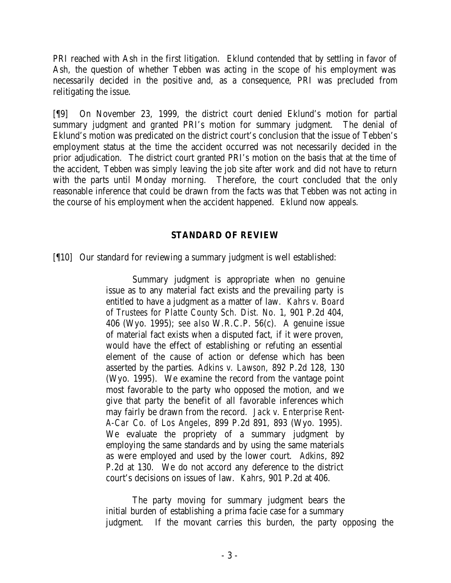PRI reached with Ash in the first litigation. Eklund contended that by settling in favor of Ash, the question of whether Tebben was acting in the scope of his employment was necessarily decided in the positive and, as a consequence, PRI was precluded from relitigating the issue.

[¶9] On November 23, 1999, the district court denied Eklund's motion for partial summary judgment and granted PRI's motion for summary judgment. The denial of Eklund's motion was predicated on the district court's conclusion that the issue of Tebben's employment status at the time the accident occurred was not necessarily decided in the prior adjudication. The district court granted PRI's motion on the basis that at the time of the accident, Tebben was simply leaving the job site after work and did not have to return with the parts until Monday morning. Therefore, the court concluded that the only reasonable inference that could be drawn from the facts was that Tebben was not acting in the course of his employment when the accident happened. Eklund now appeals.

#### **STANDARD OF REVIEW**

[¶10] Our standard for reviewing a summary judgment is well established:

Summary judgment is appropriate when no genuine issue as to any material fact exists and the prevailing party is entitled to have a judgment as a matter of law. *Kahrs v. Board of Trustees for Platte County Sch. Dist. No. 1*, 901 P.2d 404, 406 (Wyo. 1995); *see also* W.R.C.P. 56(c). A genuine issue of material fact exists when a disputed fact, if it were proven, would have the effect of establishing or refuting an essential element of the cause of action or defense which has been asserted by the parties. *Adkins v. Lawson*, 892 P.2d 128, 130 (Wyo. 1995). We examine the record from the vantage point most favorable to the party who opposed the motion, and we give that party the benefit of all favorable inferences which may fairly be drawn from the record. *Jack v. Enterprise Rent-A-Car Co. of Los Angeles*, 899 P.2d 891, 893 (Wyo. 1995). We evaluate the propriety of a summary judgment by employing the same standards and by using the same materials as were employed and used by the lower court. *Adkins*, 892 P.2d at 130. We do not accord any deference to the district court's decisions on issues of law. *Kahrs*, 901 P.2d at 406.

The party moving for summary judgment bears the initial burden of establishing a prima facie case for a summary judgment. If the movant carries this burden, the party opposing the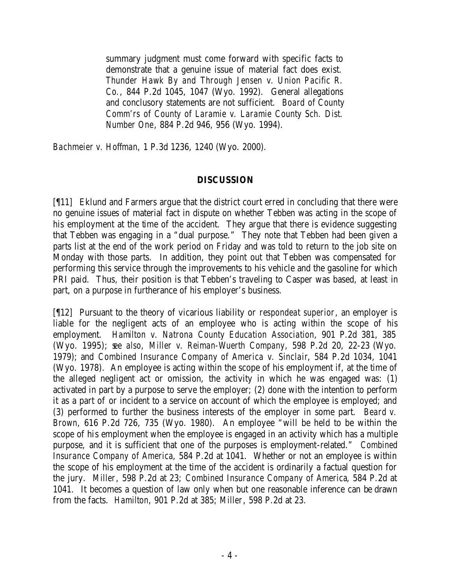summary judgment must come forward with specific facts to demonstrate that a genuine issue of material fact does exist. *Thunder Hawk By and Through Jensen v. Union Pacific R. Co.*, 844 P.2d 1045, 1047 (Wyo. 1992). General allegations and conclusory statements are not sufficient. *Board of County Comm'rs of County of Laramie v. Laramie County Sch. Dist. Number One*, 884 P.2d 946, 956 (Wyo. 1994).

*Bachmeier v. Hoffman*, 1 P.3d 1236, 1240 (Wyo. 2000).

#### **DISCUSSION**

[¶11] Eklund and Farmers argue that the district court erred in concluding that there were no genuine issues of material fact in dispute on whether Tebben was acting in the scope of his employment at the time of the accident. They argue that there is evidence suggesting that Tebben was engaging in a "dual purpose." They note that Tebben had been given a parts list at the end of the work period on Friday and was told to return to the job site on Monday with those parts. In addition, they point out that Tebben was compensated for performing this service through the improvements to his vehicle and the gasoline for which PRI paid. Thus, their position is that Tebben's traveling to Casper was based, at least in part, on a purpose in furtherance of his employer's business.

[¶12] Pursuant to the theory of vicarious liability or *respondeat superior*, an employer is liable for the negligent acts of an employee who is acting within the scope of his employment. *Hamilton v. Natrona County Education Association*, 901 P.2d 381, 385 (Wyo. 1995); s*ee also, Miller v. Reiman-Wuerth Company*, 598 P.2d 20, 22-23 (Wyo. 1979); and *Combined Insurance Company of America v. Sinclair*, 584 P.2d 1034, 1041 (Wyo. 1978). An employee is acting within the scope of his employment if, at the time of the alleged negligent act or omission, the activity in which he was engaged was: (1) activated in part by a purpose to serve the employer; (2) done with the intention to perform it as a part of or incident to a service on account of which the employee is employed; and (3) performed to further the business interests of the employer in some part. *Beard v. Brown*, 616 P.2d 726, 735 (Wyo. 1980). An employee "will be held to be within the scope of his employment when the employee is engaged in an activity which has a multiple purpose, and it is sufficient that one of the purposes is employment-related." *Combined Insurance Company of America*, 584 P.2d at 1041. Whether or not an employee is within the scope of his employment at the time of the accident is ordinarily a factual question for the jury. *Miller*, 598 P.2d at 23; *Combined Insurance Company of America*, 584 P.2d at 1041. It becomes a question of law only when but one reasonable inference can be drawn from the facts. *Hamilton*, 901 P.2d at 385; *Miller*, 598 P.2d at 23.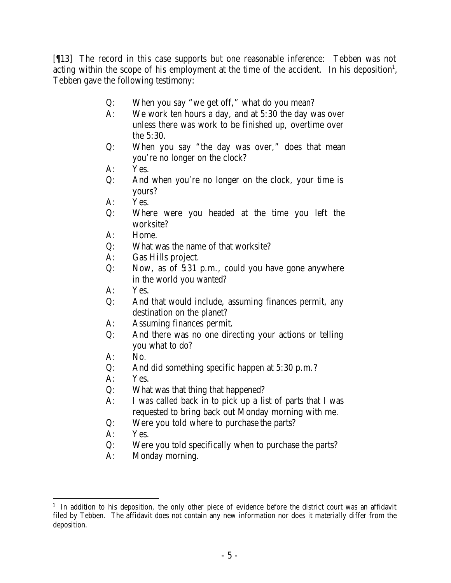[¶13] The record in this case supports but one reasonable inference: Tebben was not acting within the scope of his employment at the time of the accident. In his deposition<sup>1</sup>, Tebben gave the following testimony:

- Q: When you say "we get off," what do you mean?
- A: We work ten hours a day, and at 5:30 the day was over unless there was work to be finished up, overtime over the 5:30.
- Q: When you say "the day was over," does that mean you're no longer on the clock?
- A: Yes.
- Q: And when you're no longer on the clock, your time is yours?
- A: Yes.
- Q: Where were you headed at the time you left the worksite?
- A: Home.
- Q: What was the name of that worksite?
- A: Gas Hills project.
- Q: Now, as of 5:31 p.m., could you have gone anywhere in the world you wanted?
- A: Yes.
- Q: And that would include, assuming finances permit, any destination on the planet?
- A: Assuming finances permit.
- Q: And there was no one directing your actions or telling you what to do?
- A: No.
- Q: And did something specific happen at 5:30 p.m.?
- A: Yes.
- Q: What was that thing that happened?
- A: I was called back in to pick up a list of parts that I was requested to bring back out Monday morning with me.
- Q: Were you told where to purchase the parts?
- A: Yes.
- Q: Were you told specifically when to purchase the parts?
- A: Monday morning.

 1 In addition to his deposition, the only other piece of evidence before the district court was an affidavit filed by Tebben. The affidavit does not contain any new information nor does it materially differ from the deposition.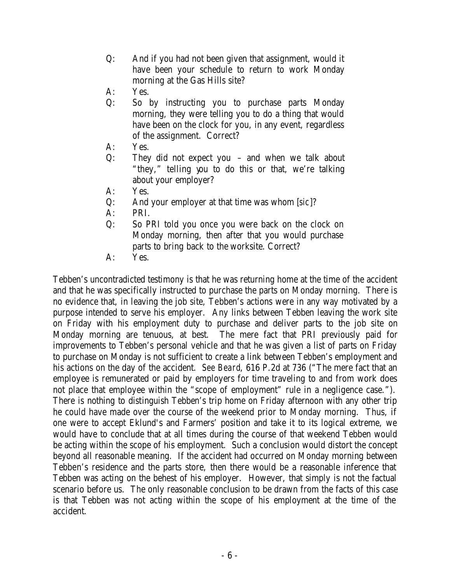- Q: And if you had not been given that assignment, would it have been your schedule to return to work Monday morning at the Gas Hills site?
- A: Yes.
- Q: So by instructing you to purchase parts Monday morning, they were telling you to do a thing that would have been on the clock for you, in any event, regardless of the assignment. Correct?
- A: Yes.
- Q: They did not expect you and when we talk about "they," telling you to do this or that, we're talking about your employer?
- A: Yes.
- Q: And your employer at that time was whom [*sic*]?
- A: PRI.
- Q: So PRI told you once you were back on the clock on Monday morning, then after that you would purchase parts to bring back to the worksite. Correct?
- A: Yes.

Tebben's uncontradicted testimony is that he was returning home at the time of the accident and that he was specifically instructed to purchase the parts on Monday morning. There is no evidence that, in leaving the job site, Tebben's actions were in any way motivated by a purpose intended to serve his employer. Any links between Tebben leaving the work site on Friday with his employment duty to purchase and deliver parts to the job site on Monday morning are tenuous, at best. The mere fact that PRI previously paid for improvements to Tebben's personal vehicle and that he was given a list of parts on Friday to purchase on Monday is not sufficient to create a link between Tebben's employment and his actions on the day of the accident. *See Beard*, 616 P.2d at 736 ("The mere fact that an employee is remunerated or paid by employers for time traveling to and from work does not place that employee within the "scope of employment" rule in a negligence case."). There is nothing to distinguish Tebben's trip home on Friday afternoon with any other trip he could have made over the course of the weekend prior to Monday morning. Thus, if one were to accept Eklund's and Farmers' position and take it to its logical extreme, we would have to conclude that at all times during the course of that weekend Tebben would be acting within the scope of his employment. Such a conclusion would distort the concept beyond all reasonable meaning. If the accident had occurred on Monday morning between Tebben's residence and the parts store, then there would be a reasonable inference that Tebben was acting on the behest of his employer. However, that simply is not the factual scenario before us. The only reasonable conclusion to be drawn from the facts of this case is that Tebben was not acting within the scope of his employment at the time of the accident.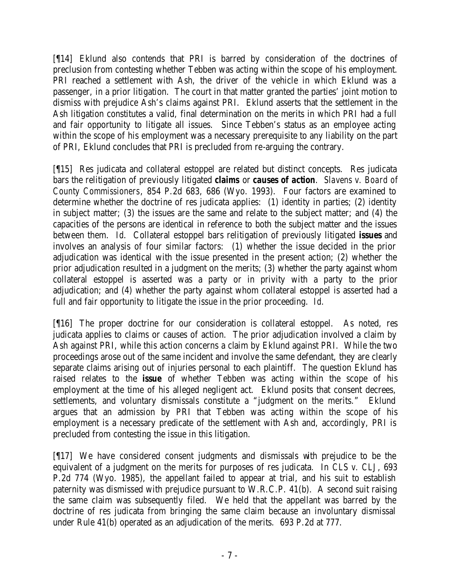[¶14] Eklund also contends that PRI is barred by consideration of the doctrines of preclusion from contesting whether Tebben was acting within the scope of his employment. PRI reached a settlement with Ash, the driver of the vehicle in which Eklund was a passenger, in a prior litigation. The court in that matter granted the parties' joint motion to dismiss with prejudice Ash's claims against PRI. Eklund asserts that the settlement in the Ash litigation constitutes a valid, final determination on the merits in which PRI had a full and fair opportunity to litigate all issues. Since Tebben's status as an employee acting within the scope of his employment was a necessary prerequisite to any liability on the part of PRI, Eklund concludes that PRI is precluded from re-arguing the contrary.

[¶15] Res judicata and collateral estoppel are related but distinct concepts. Res judicata bars the relitigation of previously litigated *claims* or *causes of action*. *Slavens v. Board of County Commissioners*, 854 P.2d 683, 686 (Wyo. 1993). Four factors are examined to determine whether the doctrine of res judicata applies: (1) identity in parties; (2) identity in subject matter; (3) the issues are the same and relate to the subject matter; and (4) the capacities of the persons are identical in reference to both the subject matter and the issues between them. *Id*. Collateral estoppel bars relitigation of previously litigated *issues* and involves an analysis of four similar factors: (1) whether the issue decided in the prior adjudication was identical with the issue presented in the present action; (2) whether the prior adjudication resulted in a judgment on the merits; (3) whether the party against whom collateral estoppel is asserted was a party or in privity with a party to the prior adjudication; and (4) whether the party against whom collateral estoppel is asserted had a full and fair opportunity to litigate the issue in the prior proceeding. *Id*.

[¶16] The proper doctrine for our consideration is collateral estoppel. As noted, res judicata applies to claims or causes of action. The prior adjudication involved a claim by Ash against PRI, while this action concerns a claim by Eklund against PRI. While the two proceedings arose out of the same incident and involve the same defendant, they are clearly separate claims arising out of injuries personal to each plaintiff. The question Eklund has raised relates to the *issue* of whether Tebben was acting within the scope of his employment at the time of his alleged negligent act. Eklund posits that consent decrees, settlements, and voluntary dismissals constitute a "judgment on the merits." Eklund argues that an admission by PRI that Tebben was acting within the scope of his employment is a necessary predicate of the settlement with Ash and, accordingly, PRI is precluded from contesting the issue in this litigation.

[¶17] We have considered consent judgments and dismissals with prejudice to be the equivalent of a judgment on the merits for purposes of res judicata. In *CLS v. CLJ*, 693 P.2d 774 (Wyo. 1985), the appellant failed to appear at trial, and his suit to establish paternity was dismissed with prejudice pursuant to W.R.C.P. 41(b). A second suit raising the same claim was subsequently filed. We held that the appellant was barred by the doctrine of res judicata from bringing the same claim because an involuntary dismissal under Rule 41(b) operated as an adjudication of the merits. 693 P.2d at 777.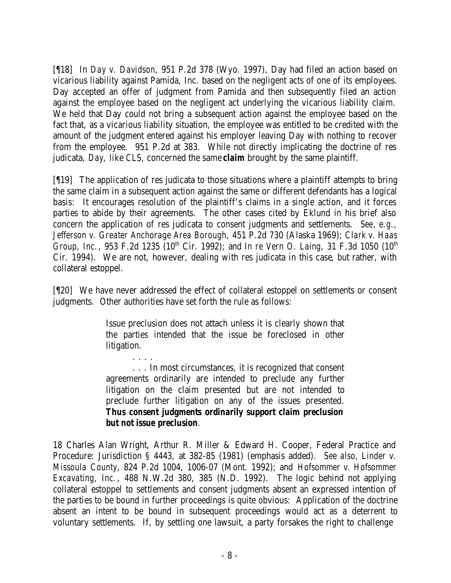[¶18] In *Day v. Davidson*, 951 P.2d 378 (Wyo. 1997), Day had filed an action based on vicarious liability against Pamida, Inc. based on the negligent acts of one of its employees. Day accepted an offer of judgment from Pamida and then subsequently filed an action against the employee based on the negligent act underlying the vicarious liability claim. We held that Day could not bring a subsequent action against the employee based on the fact that, as a vicarious liability situation, the employee was entitled to be credited with the amount of the judgment entered against his employer leaving Day with nothing to recover from the employee. 951 P.2d at 383. While not directly implicating the doctrine of res judicata, *Day*, like *CLS*, concerned the same *claim* brought by the same plaintiff.

[¶19] The application of res judicata to those situations where a plaintiff attempts to bring the same claim in a subsequent action against the same or different defendants has a logical basis: It encourages resolution of the plaintiff's claims in a single action, and it forces parties to abide by their agreements. The other cases cited by Eklund in his brief also concern the application of res judicata to consent judgments and settlements. *See, e.g., Jefferson v. Greater Anchorage Area Borough*, 451 P.2d 730 (Alaska 1969); *Clark v. Haas Group, Inc.*, 953 F.2d 1235 (10<sup>th</sup> Cir. 1992); and *In re Vern O. Laing*, 31 F.3d 1050 (10<sup>th</sup>) Cir. 1994). We are not, however, dealing with res judicata in this case, but rather, with collateral estoppel.

[¶20] We have never addressed the effect of collateral estoppel on settlements or consent judgments. Other authorities have set forth the rule as follows:

> Issue preclusion does not attach unless it is clearly shown that the parties intended that the issue be foreclosed in other litigation.

> > . . . .

. . . In most circumstances, it is recognized that consent agreements ordinarily are intended to preclude any further litigation on the claim presented but are not intended to preclude further litigation on any of the issues presented. *Thus consent judgments ordinarily support claim preclusion but not issue preclusion*.

18 Charles Alan Wright, Arthur R. Miller & Edward H. Cooper, Federal Practice and Procedure: Jurisdiction § 4443, at 382-85 (1981) (emphasis added). *See also, Linder v. Missoula County*, 824 P.2d 1004, 1006-07 (Mont. 1992); and *Hofsommer v. Hofsommer Excavating, Inc.*, 488 N.W.2d 380, 385 (N.D. 1992). The logic behind not applying collateral estoppel to settlements and consent judgments absent an expressed intention of the parties to be bound in further proceedings is quite obvious: Application of the doctrine absent an intent to be bound in subsequent proceedings would act as a deterrent to voluntary settlements. If, by settling one lawsuit, a party forsakes the right to challenge